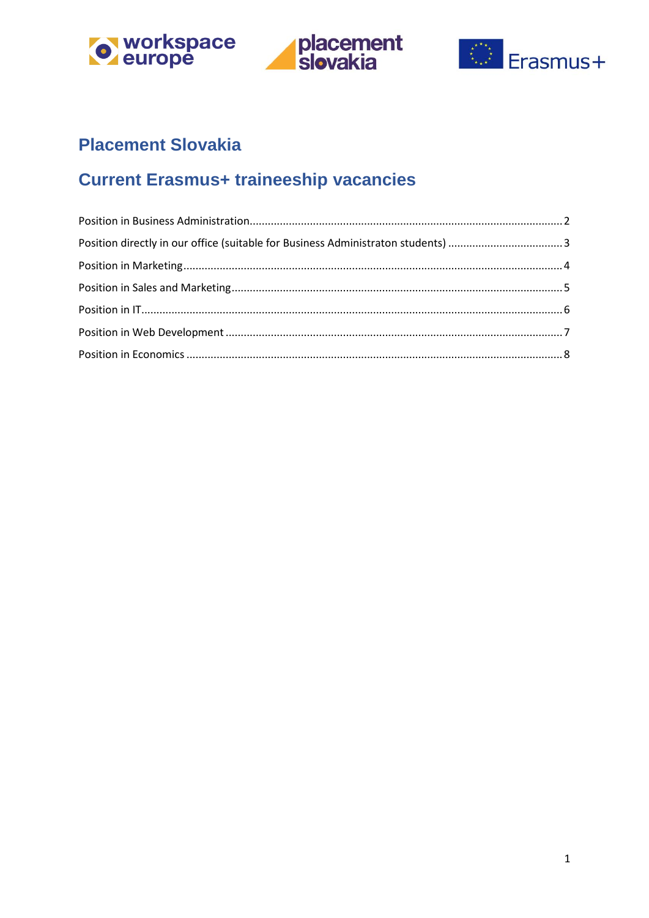





# **Placement Slovakia**

# **Current Erasmus+ traineeship vacancies**

<span id="page-0-0"></span>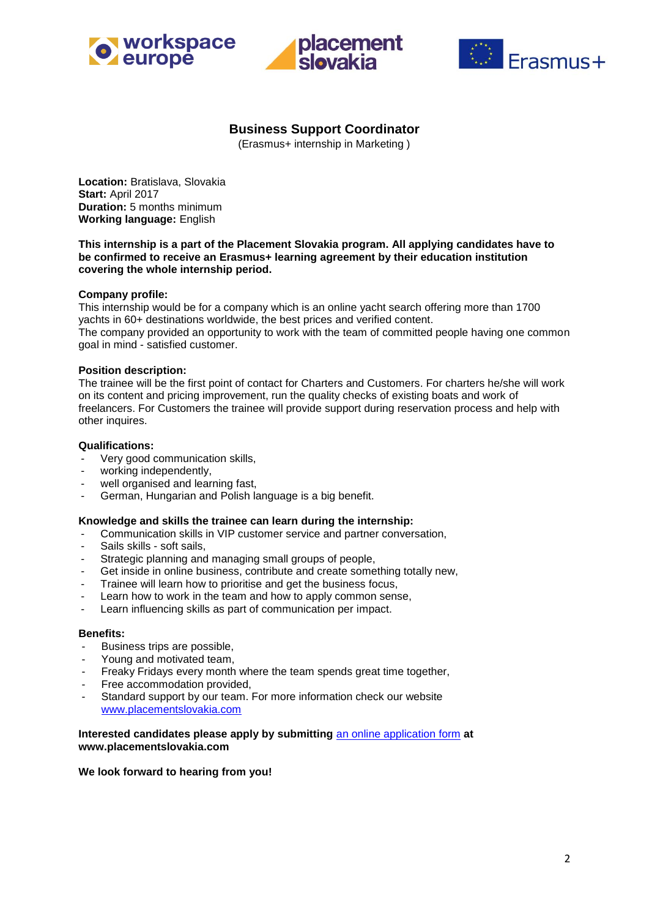





# **Business Support Coordinator**

(Erasmus+ internship in Marketing )

**Location:** Bratislava, Slovakia **Start:** April 2017 **Duration:** 5 months minimum **Working language:** English

#### **This internship is a part of the Placement Slovakia program. All applying candidates have to be confirmed to receive an Erasmus+ learning agreement by their education institution covering the whole internship period.**

#### **Company profile:**

This internship would be for a company which is an online yacht search offering more than 1700 yachts in 60+ destinations worldwide, the best prices and verified content. The company provided an opportunity to work with the team of committed people having one common goal in mind - satisfied customer.

#### **Position description:**

The trainee will be the first point of contact for Charters and Customers. For charters he/she will work on its content and pricing improvement, run the quality checks of existing boats and work of freelancers. For Customers the trainee will provide support during reservation process and help with other inquires.

#### **Qualifications:**

- Very good communication skills,
- working independently,
- well organised and learning fast,
- German, Hungarian and Polish language is a big benefit.

#### **Knowledge and skills the trainee can learn during the internship:**

- Communication skills in VIP customer service and partner conversation,
- Sails skills soft sails,
- Strategic planning and managing small groups of people,
- Get inside in online business, contribute and create something totally new,
- Trainee will learn how to prioritise and get the business focus,
- Learn how to work in the team and how to apply common sense,
- Learn influencing skills as part of communication per impact.

#### **Benefits:**

- **-** Business trips are possible,
- **-** Young and motivated team,
- **-** Freaky Fridays every month where the team spends great time together,
- **-** Free accommodation provided,
- **-** Standard support by our team. For more information check our website [www.placementslovakia.com](http://www.placementslovakia.com/)

#### **Interested candidates please apply by submitting** [an online application form](http://placementslovakia.com/how-to-apply/application-form) **at www.placementslovakia.com**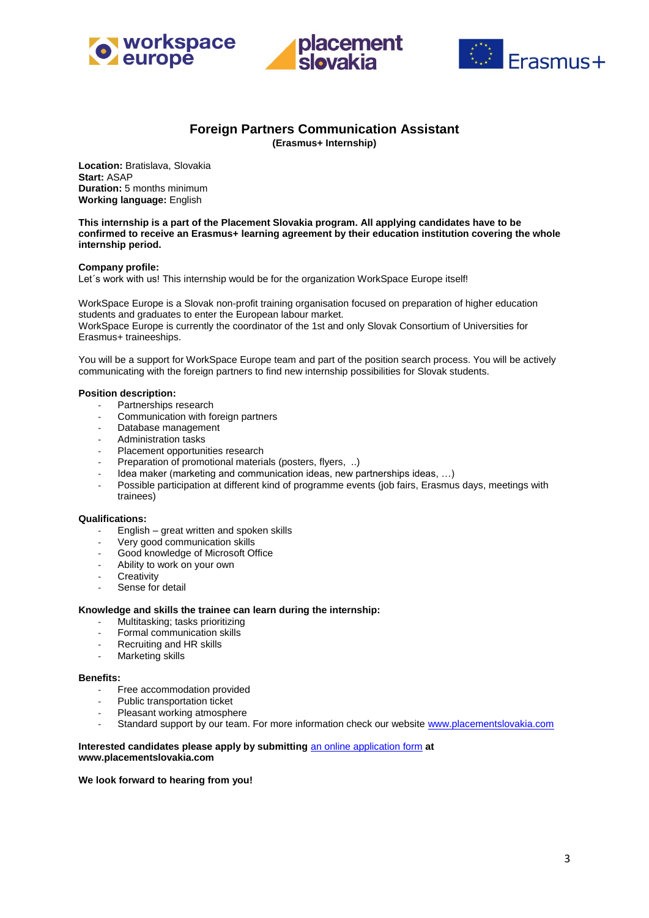





# **Foreign Partners Communication Assistant**

**(Erasmus+ Internship)**

<span id="page-2-0"></span>**Location:** Bratislava, Slovakia **Start:** ASAP **Duration:** 5 months minimum **Working language:** English

**This internship is a part of the Placement Slovakia program. All applying candidates have to be confirmed to receive an Erasmus+ learning agreement by their education institution covering the whole internship period.**

#### **Company profile:**

Let's work with us! This internship would be for the organization WorkSpace Europe itself!

WorkSpace Europe is a Slovak non-profit training organisation focused on preparation of higher education students and graduates to enter the European labour market. WorkSpace Europe is currently the coordinator of the 1st and only Slovak Consortium of Universities for Erasmus+ traineeships.

You will be a support for WorkSpace Europe team and part of the position search process. You will be actively communicating with the foreign partners to find new internship possibilities for Slovak students.

#### **Position description:**

- Partnerships research
- Communication with foreign partners
- Database management
- Administration tasks
- Placement opportunities research
- Preparation of promotional materials (posters, flyers, ..)
- Idea maker (marketing and communication ideas, new partnerships ideas, ...)
- Possible participation at different kind of programme events (job fairs, Erasmus days, meetings with trainees)

#### **Qualifications:**

- English great written and spoken skills
- Very good communication skills
- Good knowledge of Microsoft Office
- Ability to work on your own
- Creativity
- Sense for detail

#### **Knowledge and skills the trainee can learn during the internship:**

- Multitasking; tasks prioritizing
- Formal communication skills
- Recruiting and HR skills
- Marketing skills

#### **Benefits:**

- Free accommodation provided
- Public transportation ticket
- Pleasant working atmosphere
- Standard support by our team. For more information check our website www.placementslovakia.com

#### **Interested candidates please apply by submitting** [an online application form](http://placementslovakia.com/how-to-apply/application-form) **at www.placementslovakia.com**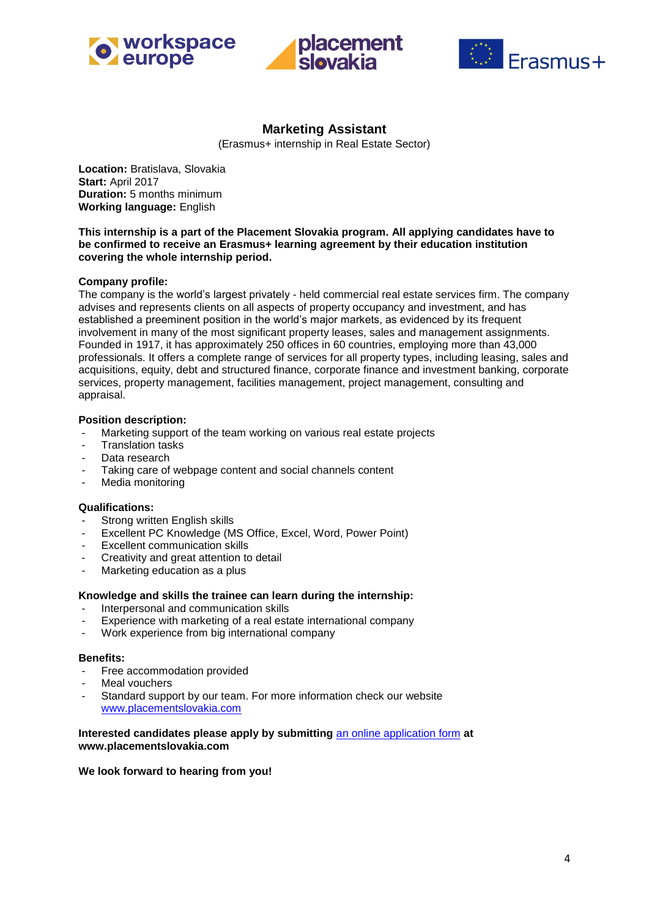





# **Marketing Assistant**

(Erasmus+ internship in Real Estate Sector)

<span id="page-3-0"></span>**Location:** Bratislava, Slovakia **Start:** April 2017 **Duration:** 5 months minimum **Working language:** English

**This internship is a part of the Placement Slovakia program. All applying candidates have to be confirmed to receive an Erasmus+ learning agreement by their education institution covering the whole internship period.**

## **Company profile:**

The company is the world's largest privately - held commercial real estate services firm. The company advises and represents clients on all aspects of property occupancy and investment, and has established a preeminent position in the world's major markets, as evidenced by its frequent involvement in many of the most significant property leases, sales and management assignments. Founded in 1917, it has approximately 250 offices in 60 countries, employing more than 43,000 professionals. It offers a complete range of services for all property types, including leasing, sales and acquisitions, equity, debt and structured finance, corporate finance and investment banking, corporate services, property management, facilities management, project management, consulting and appraisal.

#### **Position description:**

- **-** Marketing support of the team working on various real estate projects
- **-** Translation tasks
- **-** Data research
- **-** Taking care of webpage content and social channels content
- **-** Media monitoring

#### **Qualifications:**

- **-** Strong written English skills
- **-** Excellent PC Knowledge (MS Office, Excel, Word, Power Point)
- **-** Excellent communication skills
- **-** Creativity and great attention to detail
- **-** Marketing education as a plus

#### **Knowledge and skills the trainee can learn during the internship:**

- **-** Interpersonal and communication skills
- **-** Experience with marketing of a real estate international company
- **-** Work experience from big international company

#### **Benefits:**

- **-** Free accommodation provided
- **-** Meal vouchers
- **-** Standard support by our team. For more information check our website [www.placementslovakia.com](http://www.placementslovakia.com/)

#### **Interested candidates please apply by submitting** [an online application form](http://placementslovakia.com/how-to-apply/application-form) **at www.placementslovakia.com**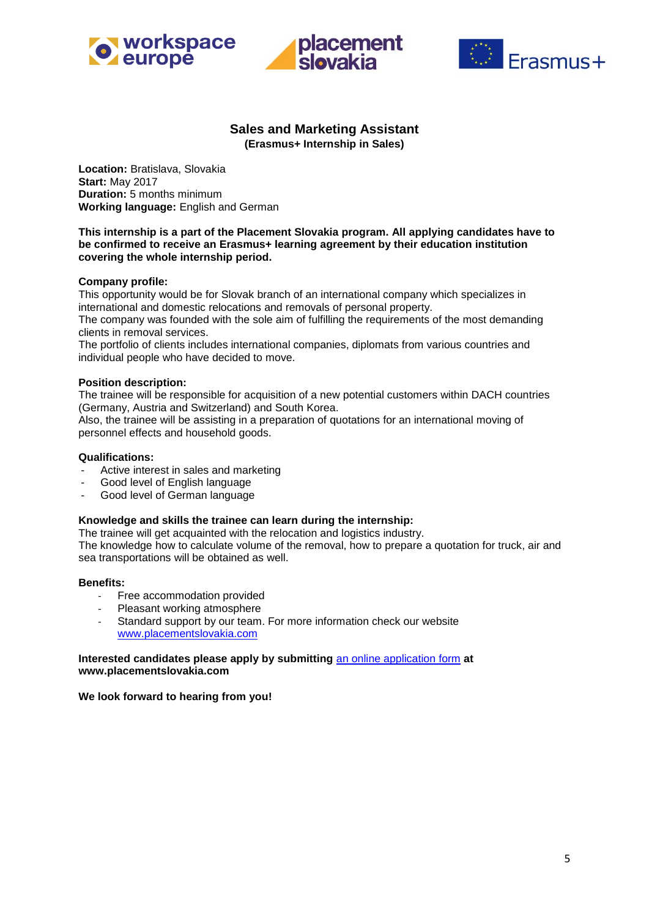





## **Sales and Marketing Assistant (Erasmus+ Internship in Sales)**

<span id="page-4-0"></span>**Location:** Bratislava, Slovakia **Start:** May 2017 **Duration:** 5 months minimum **Working language:** English and German

### **This internship is a part of the Placement Slovakia program. All applying candidates have to be confirmed to receive an Erasmus+ learning agreement by their education institution covering the whole internship period.**

#### **Company profile:**

This opportunity would be for Slovak branch of an international company which specializes in international and domestic relocations and removals of personal property.

The company was founded with the sole aim of fulfilling the requirements of the most demanding clients in removal services.

The portfolio of clients includes international companies, diplomats from various countries and individual people who have decided to move.

#### **Position description:**

The trainee will be responsible for acquisition of a new potential customers within DACH countries (Germany, Austria and Switzerland) and South Korea.

Also, the trainee will be assisting in a preparation of quotations for an international moving of personnel effects and household goods.

#### **Qualifications:**

- Active interest in sales and marketing
- Good level of English language
- Good level of German language

## **Knowledge and skills the trainee can learn during the internship:**

The trainee will get acquainted with the relocation and logistics industry.

The knowledge how to calculate volume of the removal, how to prepare a quotation for truck, air and sea transportations will be obtained as well.

#### **Benefits:**

- Free accommodation provided
- Pleasant working atmosphere
- Standard support by our team. For more information check our website [www.placementslovakia.com](http://www.placementslovakia.com/)

#### **Interested candidates please apply by submitting** [an online application form](http://placementslovakia.com/how-to-apply/application-form) **at www.placementslovakia.com**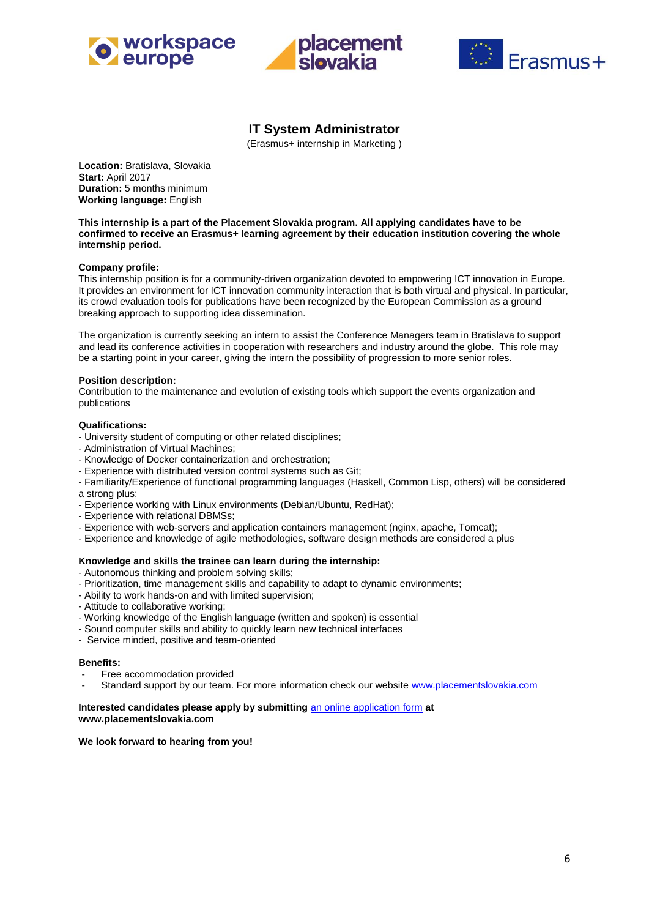





# **IT System Administrator**

(Erasmus+ internship in Marketing )

<span id="page-5-0"></span>**Location:** Bratislava, Slovakia **Start:** April 2017 **Duration:** 5 months minimum **Working language:** English

**This internship is a part of the Placement Slovakia program. All applying candidates have to be confirmed to receive an Erasmus+ learning agreement by their education institution covering the whole internship period.**

#### **Company profile:**

This internship position is for a community-driven organization devoted to empowering ICT innovation in Europe. It provides an environment for ICT innovation community interaction that is both virtual and physical. In particular, its crowd evaluation tools for publications have been recognized by the European Commission as a ground breaking approach to supporting idea dissemination.

The organization is currently seeking an intern to assist the Conference Managers team in Bratislava to support and lead its conference activities in cooperation with researchers and industry around the globe. This role may be a starting point in your career, giving the intern the possibility of progression to more senior roles.

#### **Position description:**

Contribution to the maintenance and evolution of existing tools which support the events organization and publications

#### **Qualifications:**

- University student of computing or other related disciplines;
- Administration of Virtual Machines;
- Knowledge of Docker containerization and orchestration;
- Experience with distributed version control systems such as Git;
- Familiarity/Experience of functional programming languages (Haskell, Common Lisp, others) will be considered a strong plus;
- Experience working with Linux environments (Debian/Ubuntu, RedHat);
- Experience with relational DBMSs;
- Experience with web-servers and application containers management (nginx, apache, Tomcat);
- Experience and knowledge of agile methodologies, software design methods are considered a plus

#### **Knowledge and skills the trainee can learn during the internship:**

- Autonomous thinking and problem solving skills;
- Prioritization, time management skills and capability to adapt to dynamic environments;
- Ability to work hands-on and with limited supervision;
- Attitude to collaborative working;
- Working knowledge of the English language (written and spoken) is essential
- Sound computer skills and ability to quickly learn new technical interfaces
- Service minded, positive and team-oriented

#### **Benefits:**

- **-** Free accommodation provided
- **-** Standard support by our team. For more information check our website [www.placementslovakia.com](http://www.placementslovakia.com/)

#### **Interested candidates please apply by submitting** [an online application form](http://placementslovakia.com/how-to-apply/application-form) **at www.placementslovakia.com**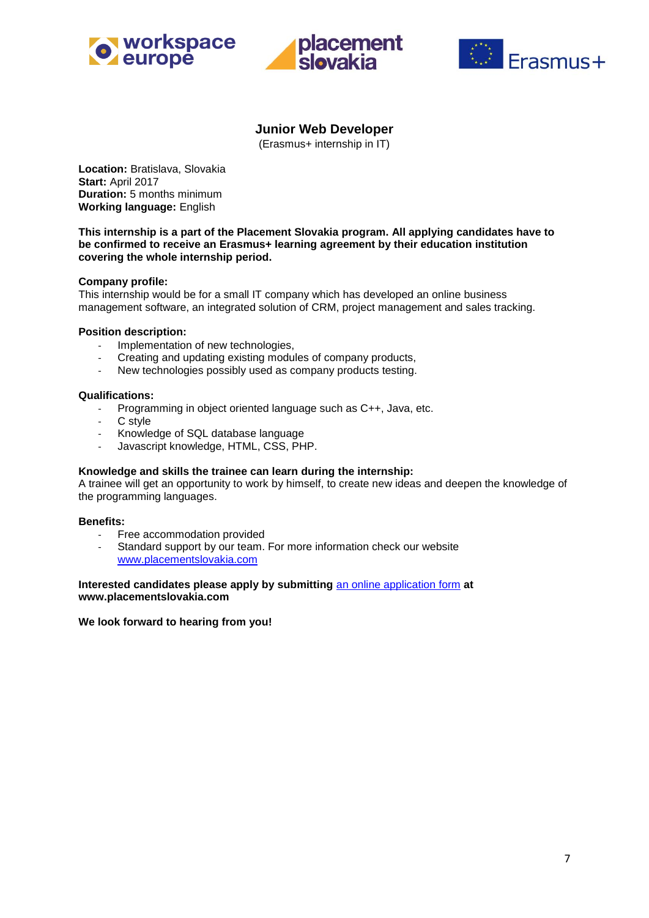





# **Junior Web Developer**

(Erasmus+ internship in IT)

<span id="page-6-0"></span>**Location:** Bratislava, Slovakia **Start:** April 2017 **Duration:** 5 months minimum **Working language:** English

**This internship is a part of the Placement Slovakia program. All applying candidates have to be confirmed to receive an Erasmus+ learning agreement by their education institution covering the whole internship period.**

## **Company profile:**

This internship would be for a small IT company which has developed an online business management software, an integrated solution of CRM, project management and sales tracking.

### **Position description:**

- Implementation of new technologies,
- Creating and updating existing modules of company products,
- New technologies possibly used as company products testing.

#### **Qualifications:**

- Programming in object oriented language such as C++, Java, etc.
- C style
- Knowledge of SQL database language
- Javascript knowledge, HTML, CSS, PHP.

## **Knowledge and skills the trainee can learn during the internship:**

A trainee will get an opportunity to work by himself, to create new ideas and deepen the knowledge of the programming languages.

#### **Benefits:**

- Free accommodation provided
- Standard support by our team. For more information check our website [www.placementslovakia.com](http://www.placementslovakia.com/)

#### **Interested candidates please apply by submitting** [an online application form](http://placementslovakia.com/how-to-apply/application-form) **at www.placementslovakia.com**